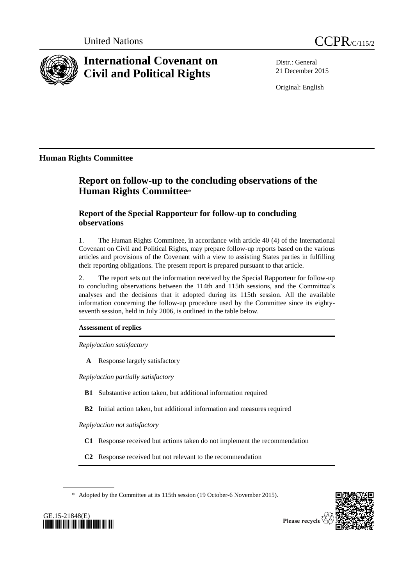

# **International Covenant on Civil and Political Rights**

Distr.: General 21 December 2015

Original: English

**Human Rights Committee**

# **Report on follow-up to the concluding observations of the Human Rights Committee**\*

# **Report of the Special Rapporteur for follow-up to concluding observations**

1. The Human Rights Committee, in accordance with article 40 (4) of the International Covenant on Civil and Political Rights, may prepare follow-up reports based on the various articles and provisions of the Covenant with a view to assisting States parties in fulfilling their reporting obligations. The present report is prepared pursuant to that article.

2. The report sets out the information received by the Special Rapporteur for follow-up to concluding observations between the 114th and 115th sessions, and the Committee's analyses and the decisions that it adopted during its 115th session. All the available information concerning the follow-up procedure used by the Committee since its eightyseventh session, held in July 2006, is outlined in the table below.

# **Assessment of replies**

*Reply/action satisfactory*

**A** Response largely satisfactory

*Reply/action partially satisfactory*

- **B1** Substantive action taken, but additional information required
- **B2** Initial action taken, but additional information and measures required

*Reply/action not satisfactory*

- **C1** Response received but actions taken do not implement the recommendation
- **C2** Response received but not relevant to the recommendation

\* Adopted by the Committee at its 115th session (19 October-6 November 2015).



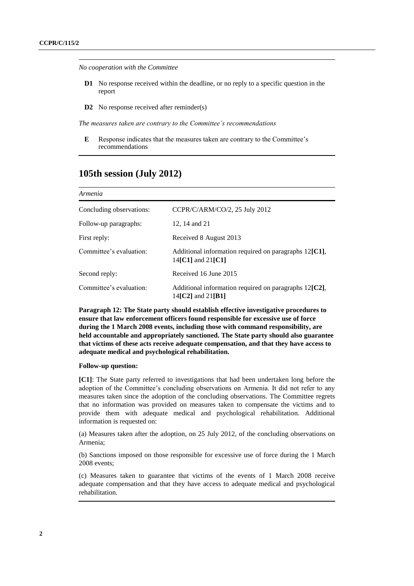*No cooperation with the Committee*

- **D1** No response received within the deadline, or no reply to a specific question in the report
- **D2** No response received after reminder(s)

*The measures taken are contrary to the Committee's recommendations*

**E** Response indicates that the measures taken are contrary to the Committee's recommendations

# **105th session (July 2012)**

| Armenia                  |                                                                                                           |  |
|--------------------------|-----------------------------------------------------------------------------------------------------------|--|
| Concluding observations: | CCPR/C/ARM/CO/2, 25 July 2012                                                                             |  |
| Follow-up paragraphs:    | 12.14 and 21                                                                                              |  |
| First reply:             | Received 8 August 2013                                                                                    |  |
| Committee's evaluation:  | Additional information required on paragraphs $12\mathfrak{[}Cl\mathfrak{]}$ ,<br>14 $[CI]$ and 21 $[CI]$ |  |
| Second reply:            | Received 16 June 2015                                                                                     |  |
| Committee's evaluation:  | Additional information required on paragraphs $12[C2]$ ,<br>14[C2] and 21[B1]                             |  |

**Paragraph 12: The State party should establish effective investigative procedures to ensure that law enforcement officers found responsible for excessive use of force during the 1 March 2008 events, including those with command responsibility, are held accountable and appropriately sanctioned. The State party should also guarantee that victims of these acts receive adequate compensation, and that they have access to adequate medical and psychological rehabilitation.**

# **Follow-up question:**

**[C1]**: The State party referred to investigations that had been undertaken long before the adoption of the Committee's concluding observations on Armenia. It did not refer to any measures taken since the adoption of the concluding observations. The Committee regrets that no information was provided on measures taken to compensate the victims and to provide them with adequate medical and psychological rehabilitation. Additional information is requested on:

(a) Measures taken after the adoption, on 25 July 2012, of the concluding observations on Armenia;

(b) Sanctions imposed on those responsible for excessive use of force during the 1 March 2008 events;

(c) Measures taken to guarantee that victims of the events of 1 March 2008 receive adequate compensation and that they have access to adequate medical and psychological rehabilitation.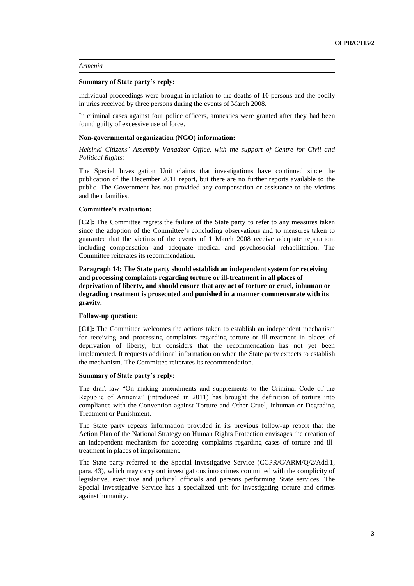#### *Armenia*

#### **Summary of State party's reply:**

Individual proceedings were brought in relation to the deaths of 10 persons and the bodily injuries received by three persons during the events of March 2008.

In criminal cases against four police officers, amnesties were granted after they had been found guilty of excessive use of force.

#### **Non-governmental organization (NGO) information:**

*Helsinki Citizens' Assembly Vanadzor Office, with the support of Centre for Civil and Political Rights:*

The Special Investigation Unit claims that investigations have continued since the publication of the December 2011 report, but there are no further reports available to the public. The Government has not provided any compensation or assistance to the victims and their families.

# **Committee's evaluation:**

**[C2]:** The Committee regrets the failure of the State party to refer to any measures taken since the adoption of the Committee's concluding observations and to measures taken to guarantee that the victims of the events of 1 March 2008 receive adequate reparation, including compensation and adequate medical and psychosocial rehabilitation. The Committee reiterates its recommendation.

**Paragraph 14: The State party should establish an independent system for receiving and processing complaints regarding torture or ill-treatment in all places of deprivation of liberty, and should ensure that any act of torture or cruel, inhuman or degrading treatment is prosecuted and punished in a manner commensurate with its gravity.**

### **Follow-up question:**

**[C1]:** The Committee welcomes the actions taken to establish an independent mechanism for receiving and processing complaints regarding torture or ill-treatment in places of deprivation of liberty, but considers that the recommendation has not yet been implemented. It requests additional information on when the State party expects to establish the mechanism. The Committee reiterates its recommendation.

#### **Summary of State party's reply:**

The draft law "On making amendments and supplements to the Criminal Code of the Republic of Armenia" (introduced in 2011) has brought the definition of torture into compliance with the Convention against Torture and Other Cruel, Inhuman or Degrading Treatment or Punishment.

The State party repeats information provided in its previous follow-up report that the Action Plan of the National Strategy on Human Rights Protection envisages the creation of an independent mechanism for accepting complaints regarding cases of torture and illtreatment in places of imprisonment.

The State party referred to the Special Investigative Service (CCPR/C/ARM/Q/2/Add.1, para. 43), which may carry out investigations into crimes committed with the complicity of legislative, executive and judicial officials and persons performing State services. The Special Investigative Service has a specialized unit for investigating torture and crimes against humanity.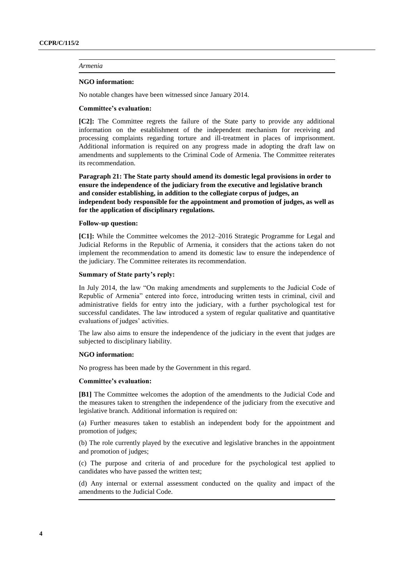#### *Armenia*

#### **NGO information:**

No notable changes have been witnessed since January 2014.

# **Committee's evaluation:**

**[C2]:** The Committee regrets the failure of the State party to provide any additional information on the establishment of the independent mechanism for receiving and processing complaints regarding torture and ill-treatment in places of imprisonment. Additional information is required on any progress made in adopting the draft law on amendments and supplements to the Criminal Code of Armenia. The Committee reiterates its recommendation.

**Paragraph 21: The State party should amend its domestic legal provisions in order to ensure the independence of the judiciary from the executive and legislative branch and consider establishing, in addition to the collegiate corpus of judges, an independent body responsible for the appointment and promotion of judges, as well as for the application of disciplinary regulations.**

#### **Follow-up question:**

**[C1]:** While the Committee welcomes the 2012–2016 Strategic Programme for Legal and Judicial Reforms in the Republic of Armenia, it considers that the actions taken do not implement the recommendation to amend its domestic law to ensure the independence of the judiciary. The Committee reiterates its recommendation.

#### **Summary of State party's reply:**

In July 2014, the law "On making amendments and supplements to the Judicial Code of Republic of Armenia" entered into force, introducing written tests in criminal, civil and administrative fields for entry into the judiciary, with a further psychological test for successful candidates. The law introduced a system of regular qualitative and quantitative evaluations of judges' activities.

The law also aims to ensure the independence of the judiciary in the event that judges are subjected to disciplinary liability.

#### **NGO information:**

No progress has been made by the Government in this regard.

#### **Committee's evaluation:**

**[B1]** The Committee welcomes the adoption of the amendments to the Judicial Code and the measures taken to strengthen the independence of the judiciary from the executive and legislative branch. Additional information is required on:

(a) Further measures taken to establish an independent body for the appointment and promotion of judges;

(b) The role currently played by the executive and legislative branches in the appointment and promotion of judges;

(c) The purpose and criteria of and procedure for the psychological test applied to candidates who have passed the written test;

(d) Any internal or external assessment conducted on the quality and impact of the amendments to the Judicial Code.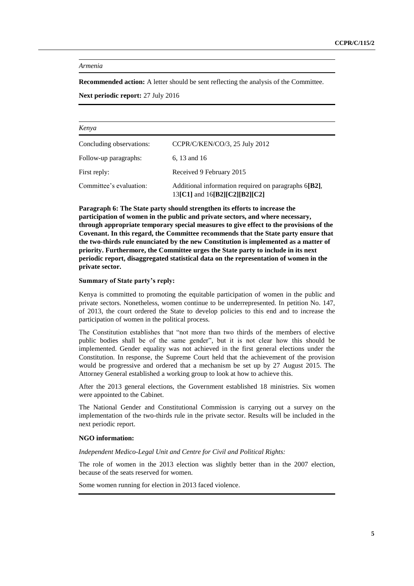*Armenia*

**Recommended action:** A letter should be sent reflecting the analysis of the Committee.

**Next periodic report:** 27 July 2016

| Kenya                    |                                                                                             |  |
|--------------------------|---------------------------------------------------------------------------------------------|--|
| Concluding observations: | CCPR/C/KEN/CO/3, 25 July 2012                                                               |  |
| Follow-up paragraphs:    | 6, 13 and 16                                                                                |  |
| First reply:             | Received 9 February 2015                                                                    |  |
| Committee's evaluation:  | Additional information required on paragraphs 6[B2],<br>13 $[C1]$ and 16 $[B2][C2][B2][C2]$ |  |

**Paragraph 6: The State party should strengthen its efforts to increase the participation of women in the public and private sectors, and where necessary, through appropriate temporary special measures to give effect to the provisions of the Covenant. In this regard, the Committee recommends that the State party ensure that the two-thirds rule enunciated by the new Constitution is implemented as a matter of priority. Furthermore, the Committee urges the State party to include in its next periodic report, disaggregated statistical data on the representation of women in the private sector.**

### **Summary of State party's reply:**

Kenya is committed to promoting the equitable participation of women in the public and private sectors. Nonetheless, women continue to be underrepresented. In petition No. 147, of 2013, the court ordered the State to develop policies to this end and to increase the participation of women in the political process.

The Constitution establishes that "not more than two thirds of the members of elective public bodies shall be of the same gender", but it is not clear how this should be implemented. Gender equality was not achieved in the first general elections under the Constitution. In response, the Supreme Court held that the achievement of the provision would be progressive and ordered that a mechanism be set up by 27 August 2015. The Attorney General established a working group to look at how to achieve this.

After the 2013 general elections, the Government established 18 ministries. Six women were appointed to the Cabinet.

The National Gender and Constitutional Commission is carrying out a survey on the implementation of the two-thirds rule in the private sector. Results will be included in the next periodic report.

#### **NGO information:**

*Independent Medico-Legal Unit and Centre for Civil and Political Rights:*

The role of women in the 2013 election was slightly better than in the 2007 election, because of the seats reserved for women.

Some women running for election in 2013 faced violence.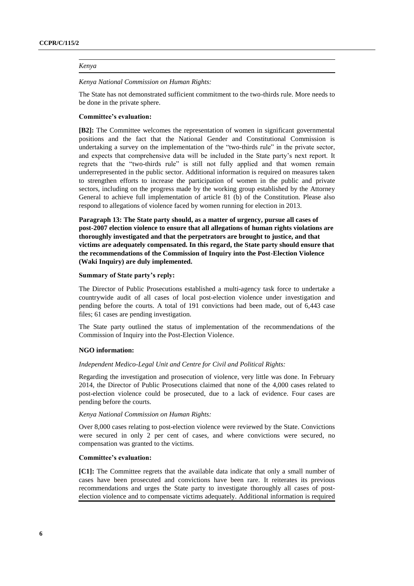#### *Kenya*

*Kenya National Commission on Human Rights:*

The State has not demonstrated sufficient commitment to the two-thirds rule. More needs to be done in the private sphere.

#### **Committee's evaluation:**

**[B2]:** The Committee welcomes the representation of women in significant governmental positions and the fact that the National Gender and Constitutional Commission is undertaking a survey on the implementation of the "two-thirds rule" in the private sector, and expects that comprehensive data will be included in the State party's next report. It regrets that the "two-thirds rule" is still not fully applied and that women remain underrepresented in the public sector. Additional information is required on measures taken to strengthen efforts to increase the participation of women in the public and private sectors, including on the progress made by the working group established by the Attorney General to achieve full implementation of article 81 (b) of the Constitution. Please also respond to allegations of violence faced by women running for election in 2013.

**Paragraph 13: The State party should, as a matter of urgency, pursue all cases of post-2007 election violence to ensure that all allegations of human rights violations are thoroughly investigated and that the perpetrators are brought to justice, and that victims are adequately compensated. In this regard, the State party should ensure that the recommendations of the Commission of Inquiry into the Post-Election Violence (Waki Inquiry) are duly implemented.**

#### **Summary of State party's reply:**

The Director of Public Prosecutions established a multi-agency task force to undertake a countrywide audit of all cases of local post-election violence under investigation and pending before the courts. A total of 191 convictions had been made, out of 6,443 case files; 61 cases are pending investigation.

The State party outlined the status of implementation of the recommendations of the Commission of Inquiry into the Post-Election Violence.

#### **NGO information:**

#### *Independent Medico-Legal Unit and Centre for Civil and Political Rights:*

Regarding the investigation and prosecution of violence, very little was done. In February 2014, the Director of Public Prosecutions claimed that none of the 4,000 cases related to post-election violence could be prosecuted, due to a lack of evidence. Four cases are pending before the courts.

# *Kenya National Commission on Human Rights:*

Over 8,000 cases relating to post-election violence were reviewed by the State. Convictions were secured in only 2 per cent of cases, and where convictions were secured, no compensation was granted to the victims.

#### **Committee's evaluation:**

**[C1]:** The Committee regrets that the available data indicate that only a small number of cases have been prosecuted and convictions have been rare. It reiterates its previous recommendations and urges the State party to investigate thoroughly all cases of postelection violence and to compensate victims adequately. Additional information is required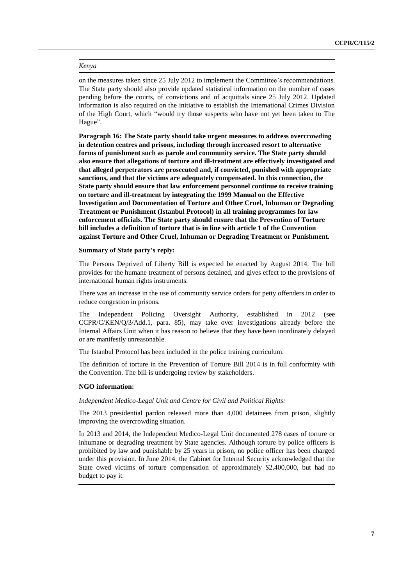#### *Kenya*

on the measures taken since 25 July 2012 to implement the Committee's recommendations. The State party should also provide updated statistical information on the number of cases pending before the courts, of convictions and of acquittals since 25 July 2012. Updated information is also required on the initiative to establish the International Crimes Division of the High Court, which "would try those suspects who have not yet been taken to The Hague".

**Paragraph 16: The State party should take urgent measures to address overcrowding in detention centres and prisons, including through increased resort to alternative forms of punishment such as parole and community service. The State party should also ensure that allegations of torture and ill-treatment are effectively investigated and that alleged perpetrators are prosecuted and, if convicted, punished with appropriate sanctions, and that the victims are adequately compensated. In this connection, the State party should ensure that law enforcement personnel continue to receive training on torture and ill-treatment by integrating the 1999 Manual on the Effective Investigation and Documentation of Torture and Other Cruel, Inhuman or Degrading Treatment or Punishment (Istanbul Protocol) in all training programmes for law enforcement officials. The State party should ensure that the Prevention of Torture bill includes a definition of torture that is in line with article 1 of the Convention against Torture and Other Cruel, Inhuman or Degrading Treatment or Punishment.**

#### **Summary of State party's reply:**

The Persons Deprived of Liberty Bill is expected be enacted by August 2014. The bill provides for the humane treatment of persons detained, and gives effect to the provisions of international human rights instruments.

There was an increase in the use of community service orders for petty offenders in order to reduce congestion in prisons.

The Independent Policing Oversight Authority, established in 2012 (see CCPR/C/KEN/Q/3/Add.1, para. 85), may take over investigations already before the Internal Affairs Unit when it has reason to believe that they have been inordinately delayed or are manifestly unreasonable.

The Istanbul Protocol has been included in the police training curriculum.

The definition of torture in the Prevention of Torture Bill 2014 is in full conformity with the Convention. The bill is undergoing review by stakeholders.

### **NGO information:**

# *Independent Medico-Legal Unit and Centre for Civil and Political Rights:*

The 2013 presidential pardon released more than 4,000 detainees from prison, slightly improving the overcrowding situation.

In 2013 and 2014, the Independent Medico-Legal Unit documented 278 cases of torture or inhumane or degrading treatment by State agencies. Although torture by police officers is prohibited by law and punishable by 25 years in prison, no police officer has been charged under this provision. In June 2014, the Cabinet for Internal Security acknowledged that the State owed victims of torture compensation of approximately \$2,400,000, but had no budget to pay it.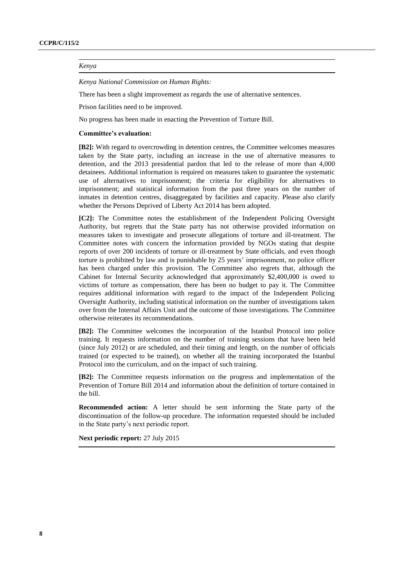# *Kenya*

*Kenya National Commission on Human Rights:*

There has been a slight improvement as regards the use of alternative sentences.

Prison facilities need to be improved.

No progress has been made in enacting the Prevention of Torture Bill.

# **Committee's evaluation:**

**[B2]:** With regard to overcrowding in detention centres, the Committee welcomes measures taken by the State party, including an increase in the use of alternative measures to detention, and the 2013 presidential pardon that led to the release of more than 4,000 detainees. Additional information is required on measures taken to guarantee the systematic use of alternatives to imprisonment; the criteria for eligibility for alternatives to imprisonment; and statistical information from the past three years on the number of inmates in detention centres, disaggregated by facilities and capacity. Please also clarify whether the Persons Deprived of Liberty Act 2014 has been adopted.

**[C2]:** The Committee notes the establishment of the Independent Policing Oversight Authority, but regrets that the State party has not otherwise provided information on measures taken to investigate and prosecute allegations of torture and ill-treatment. The Committee notes with concern the information provided by NGOs stating that despite reports of over 200 incidents of torture or ill-treatment by State officials, and even though torture is prohibited by law and is punishable by 25 years' imprisonment, no police officer has been charged under this provision. The Committee also regrets that, although the Cabinet for Internal Security acknowledged that approximately \$2,400,000 is owed to victims of torture as compensation, there has been no budget to pay it. The Committee requires additional information with regard to the impact of the Independent Policing Oversight Authority, including statistical information on the number of investigations taken over from the Internal Affairs Unit and the outcome of those investigations. The Committee otherwise reiterates its recommendations.

**[B2]:** The Committee welcomes the incorporation of the Istanbul Protocol into police training. It requests information on the number of training sessions that have been held (since July 2012) or are scheduled, and their timing and length, on the number of officials trained (or expected to be trained), on whether all the training incorporated the Istanbul Protocol into the curriculum, and on the impact of such training.

**[B2]:** The Committee requests information on the progress and implementation of the Prevention of Torture Bill 2014 and information about the definition of torture contained in the bill.

**Recommended action:** A letter should be sent informing the State party of the discontinuation of the follow-up procedure. The information requested should be included in the State party's next periodic report.

**Next periodic report:** 27 July 2015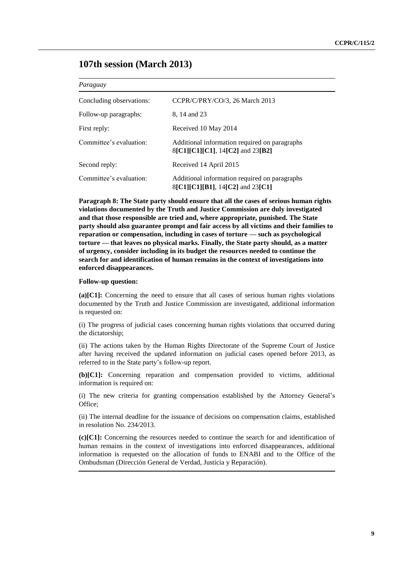# **107th session (March 2013)**

## *Paraguay*

| Concluding observations: | CCPR/C/PRY/CO/3, 26 March 2013                                                    |
|--------------------------|-----------------------------------------------------------------------------------|
| Follow-up paragraphs:    | 8, 14 and 23                                                                      |
| First reply:             | Received 10 May 2014                                                              |
| Committee's evaluation:  | Additional information required on paragraphs<br>8[C1][C1][C1], 14[C2] and 23[B2] |
| Second reply:            | Received 14 April 2015                                                            |
| Committee's evaluation:  | Additional information required on paragraphs<br>8[C1][C1][B1], 14[C2] and 23[C1] |

**Paragraph 8: The State party should ensure that all the cases of serious human rights violations documented by the Truth and Justice Commission are duly investigated and that those responsible are tried and, where appropriate, punished. The State party should also guarantee prompt and fair access by all victims and their families to reparation or compensation, including in cases of torture — such as psychological torture — that leaves no physical marks. Finally, the State party should, as a matter of urgency, consider including in its budget the resources needed to continue the search for and identification of human remains in the context of investigations into enforced disappearances.**

#### **Follow-up question:**

**(a)[C1]:** Concerning the need to ensure that all cases of serious human rights violations documented by the Truth and Justice Commission are investigated, additional information is requested on:

(i) The progress of judicial cases concerning human rights violations that occurred during the dictatorship;

(ii) The actions taken by the Human Rights Directorate of the Supreme Court of Justice after having received the updated information on judicial cases opened before 2013, as referred to in the State party's follow-up report.

**(b)[C1]:** Concerning reparation and compensation provided to victims, additional information is required on:

(i) The new criteria for granting compensation established by the Attorney General's Office;

(ii) The internal deadline for the issuance of decisions on compensation claims, established in resolution No. 234/2013.

**(c)[C1]:** Concerning the resources needed to continue the search for and identification of human remains in the context of investigations into enforced disappearances, additional information is requested on the allocation of funds to ENABI and to the Office of the Ombudsman (Dirección General de Verdad, Justicia y Reparación).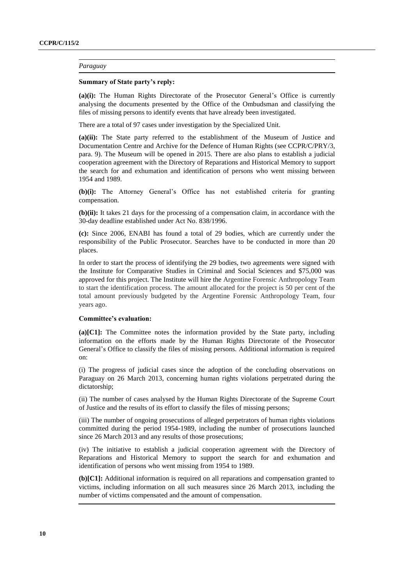#### *Paraguay*

#### **Summary of State party's reply:**

**(a)(i):** The Human Rights Directorate of the Prosecutor General's Office is currently analysing the documents presented by the Office of the Ombudsman and classifying the files of missing persons to identify events that have already been investigated.

There are a total of 97 cases under investigation by the Specialized Unit.

**(a)(ii):** The State party referred to the establishment of the Museum of Justice and Documentation Centre and Archive for the Defence of Human Rights (see CCPR/C/PRY/3, para. 9). The Museum will be opened in 2015. There are also plans to establish a judicial cooperation agreement with the Directory of Reparations and Historical Memory to support the search for and exhumation and identification of persons who went missing between 1954 and 1989.

**(b)(i):** The Attorney General's Office has not established criteria for granting compensation.

**(b)(ii):** It takes 21 days for the processing of a compensation claim, in accordance with the 30-day deadline established under Act No. 838/1996.

**(c):** Since 2006, ENABI has found a total of 29 bodies, which are currently under the responsibility of the Public Prosecutor. Searches have to be conducted in more than 20 places.

In order to start the process of identifying the 29 bodies, two agreements were signed with the Institute for Comparative Studies in Criminal and Social Sciences and \$75,000 was approved for this project. The Institute will hire the Argentine Forensic Anthropology Team to start the identification process. The amount allocated for the project is 50 per cent of the total amount previously budgeted by the Argentine Forensic Anthropology Team, four years ago.

# **Committee's evaluation:**

**(a)[C1]:** The Committee notes the information provided by the State party, including information on the efforts made by the Human Rights Directorate of the Prosecutor General's Office to classify the files of missing persons. Additional information is required on:

(i) The progress of judicial cases since the adoption of the concluding observations on Paraguay on 26 March 2013, concerning human rights violations perpetrated during the dictatorship;

(ii) The number of cases analysed by the Human Rights Directorate of the Supreme Court of Justice and the results of its effort to classify the files of missing persons;

(iii) The number of ongoing prosecutions of alleged perpetrators of human rights violations committed during the period 1954-1989, including the number of prosecutions launched since 26 March 2013 and any results of those prosecutions;

(iv) The initiative to establish a judicial cooperation agreement with the Directory of Reparations and Historical Memory to support the search for and exhumation and identification of persons who went missing from 1954 to 1989.

**(b)[C1]:** Additional information is required on all reparations and compensation granted to victims, including information on all such measures since 26 March 2013, including the number of victims compensated and the amount of compensation.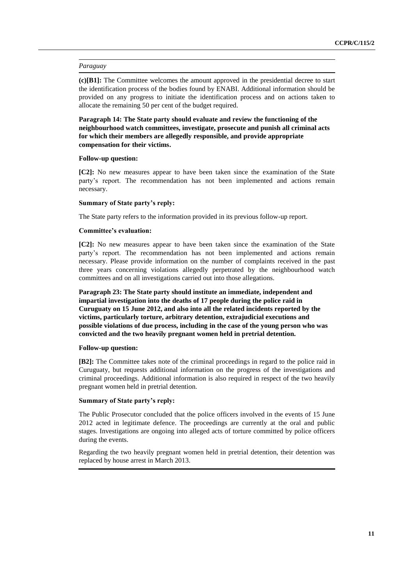#### *Paraguay*

**(c)[B1]:** The Committee welcomes the amount approved in the presidential decree to start the identification process of the bodies found by ENABI. Additional information should be provided on any progress to initiate the identification process and on actions taken to allocate the remaining 50 per cent of the budget required.

**Paragraph 14: The State party should evaluate and review the functioning of the neighbourhood watch committees, investigate, prosecute and punish all criminal acts for which their members are allegedly responsible, and provide appropriate compensation for their victims.**

#### **Follow-up question:**

**[C2]:** No new measures appear to have been taken since the examination of the State party's report. The recommendation has not been implemented and actions remain necessary.

#### **Summary of State party's reply:**

The State party refers to the information provided in its previous follow-up report.

### **Committee's evaluation:**

**[C2]:** No new measures appear to have been taken since the examination of the State party's report. The recommendation has not been implemented and actions remain necessary. Please provide information on the number of complaints received in the past three years concerning violations allegedly perpetrated by the neighbourhood watch committees and on all investigations carried out into those allegations.

**Paragraph 23: The State party should institute an immediate, independent and impartial investigation into the deaths of 17 people during the police raid in Curuguaty on 15 June 2012, and also into all the related incidents reported by the victims, particularly torture, arbitrary detention, extrajudicial executions and possible violations of due process, including in the case of the young person who was convicted and the two heavily pregnant women held in pretrial detention.**

#### **Follow-up question:**

**[B2]:** The Committee takes note of the criminal proceedings in regard to the police raid in Curuguaty, but requests additional information on the progress of the investigations and criminal proceedings. Additional information is also required in respect of the two heavily pregnant women held in pretrial detention.

#### **Summary of State party's reply:**

The Public Prosecutor concluded that the police officers involved in the events of 15 June 2012 acted in legitimate defence. The proceedings are currently at the oral and public stages. Investigations are ongoing into alleged acts of torture committed by police officers during the events.

Regarding the two heavily pregnant women held in pretrial detention, their detention was replaced by house arrest in March 2013.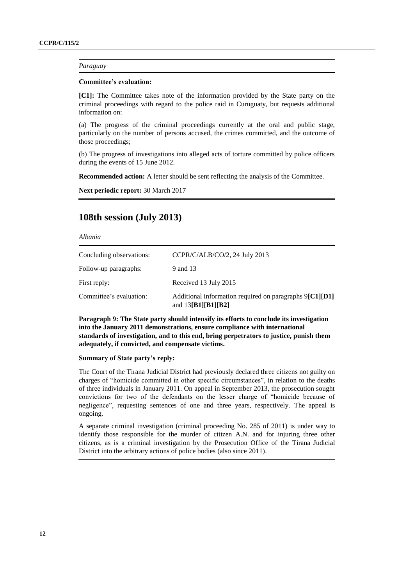#### *Paraguay*

#### **Committee's evaluation:**

**[C1]:** The Committee takes note of the information provided by the State party on the criminal proceedings with regard to the police raid in Curuguaty, but requests additional information on:

(a) The progress of the criminal proceedings currently at the oral and public stage, particularly on the number of persons accused, the crimes committed, and the outcome of those proceedings;

(b) The progress of investigations into alleged acts of torture committed by police officers during the events of 15 June 2012.

**Recommended action:** A letter should be sent reflecting the analysis of the Committee.

**Next periodic report:** 30 March 2017

# **108th session (July 2013)**

#### *Albania*

| Concluding observations: | CCPR/C/ALB/CO/2, 24 July 2013                                                   |
|--------------------------|---------------------------------------------------------------------------------|
| Follow-up paragraphs:    | 9 and 13                                                                        |
| First reply:             | Received 13 July 2015                                                           |
| Committee's evaluation:  | Additional information required on paragraphs 9[C1][D1]<br>and $13[B1][B1][B2]$ |

**Paragraph 9: The State party should intensify its efforts to conclude its investigation into the January 2011 demonstrations, ensure compliance with international standards of investigation, and to this end, bring perpetrators to justice, punish them adequately, if convicted, and compensate victims.**

# **Summary of State party's reply:**

The Court of the Tirana Judicial District had previously declared three citizens not guilty on charges of "homicide committed in other specific circumstances", in relation to the deaths of three individuals in January 2011. On appeal in September 2013, the prosecution sought convictions for two of the defendants on the lesser charge of "homicide because of negligence", requesting sentences of one and three years, respectively. The appeal is ongoing.

A separate criminal investigation (criminal proceeding No. 285 of 2011) is under way to identify those responsible for the murder of citizen A.N. and for injuring three other citizens, as is a criminal investigation by the Prosecution Office of the Tirana Judicial District into the arbitrary actions of police bodies (also since 2011).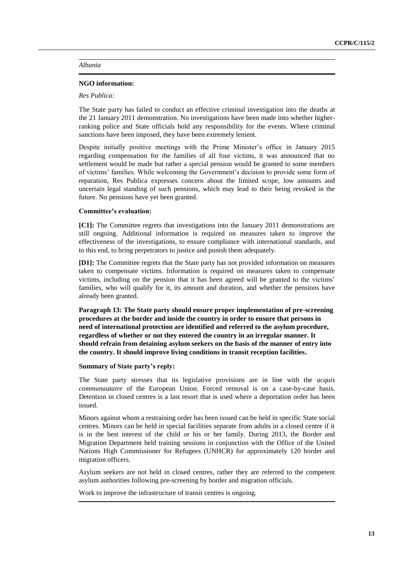# *Albania*

### **NGO information:**

### *Res Publica:*

The State party has failed to conduct an effective criminal investigation into the deaths at the 21 January 2011 demonstration. No investigations have been made into whether higherranking police and State officials hold any responsibility for the events. Where criminal sanctions have been imposed, they have been extremely lenient.

Despite initially positive meetings with the Prime Minister's office in January 2015 regarding compensation for the families of all four victims, it was announced that no settlement would be made but rather a special pension would be granted to some members of victims' families. While welcoming the Government's decision to provide some form of reparation, Res Publica expresses concern about the limited scope, low amounts and uncertain legal standing of such pensions, which may lead to their being revoked in the future. No pensions have yet been granted.

# **Committee's evaluation:**

**[C1]:** The Committee regrets that investigations into the January 2011 demonstrations are still ongoing. Additional information is required on measures taken to improve the effectiveness of the investigations, to ensure compliance with international standards, and to this end, to bring perpetrators to justice and punish them adequately.

**[D1]:** The Committee regrets that the State party has not provided information on measures taken to compensate victims. Information is required on measures taken to compensate victims, including on the pension that it has been agreed will be granted to the victims' families, who will qualify for it, its amount and duration, and whether the pensions have already been granted.

**Paragraph 13: The State party should ensure proper implementation of pre-screening procedures at the border and inside the country in order to ensure that persons in need of international protection are identified and referred to the asylum procedure, regardless of whether or not they entered the country in an irregular manner. It should refrain from detaining asylum seekers on the basis of the manner of entry into the country. It should improve living conditions in transit reception facilities.**

# **Summary of State party's reply:**

The State party stresses that its legislative provisions are in line with the *acquis communautaire* of the European Union. Forced removal is on a case-by-case basis. Detention in closed centres is a last resort that is used where a deportation order has been issued.

Minors against whom a restraining order has been issued can be held in specific State social centres. Minors can be held in special facilities separate from adults in a closed centre if it is in the best interest of the child or his or her family. During 2013, the Border and Migration Department held training sessions in conjunction with the Office of the United Nations High Commissioner for Refugees (UNHCR) for approximately 120 border and migration officers.

Asylum seekers are not held in closed centres, rather they are referred to the competent asylum authorities following pre-screening by border and migration officials.

Work to improve the infrastructure of transit centres is ongoing.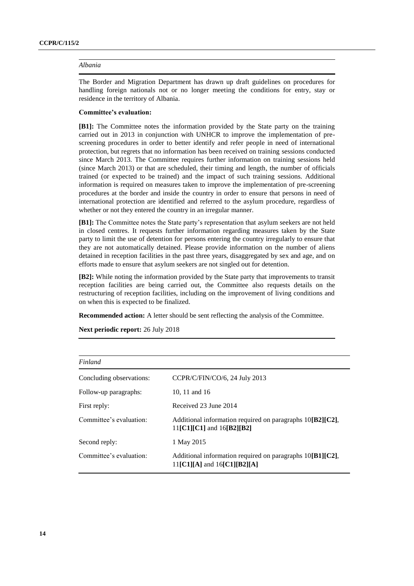# *Albania*

The Border and Migration Department has drawn up draft guidelines on procedures for handling foreign nationals not or no longer meeting the conditions for entry, stay or residence in the territory of Albania.

#### **Committee's evaluation:**

**[B1]:** The Committee notes the information provided by the State party on the training carried out in 2013 in conjunction with UNHCR to improve the implementation of prescreening procedures in order to better identify and refer people in need of international protection, but regrets that no information has been received on training sessions conducted since March 2013. The Committee requires further information on training sessions held (since March 2013) or that are scheduled, their timing and length, the number of officials trained (or expected to be trained) and the impact of such training sessions. Additional information is required on measures taken to improve the implementation of pre-screening procedures at the border and inside the country in order to ensure that persons in need of international protection are identified and referred to the asylum procedure, regardless of whether or not they entered the country in an irregular manner.

**[B1]:** The Committee notes the State party's representation that asylum seekers are not held in closed centres. It requests further information regarding measures taken by the State party to limit the use of detention for persons entering the country irregularly to ensure that they are not automatically detained. Please provide information on the number of aliens detained in reception facilities in the past three years, disaggregated by sex and age, and on efforts made to ensure that asylum seekers are not singled out for detention.

**[B2]:** While noting the information provided by the State party that improvements to transit reception facilities are being carried out, the Committee also requests details on the restructuring of reception facilities, including on the improvement of living conditions and on when this is expected to be finalized.

**Recommended action:** A letter should be sent reflecting the analysis of the Committee.

| Finland                  |                                                                                                   |
|--------------------------|---------------------------------------------------------------------------------------------------|
| Concluding observations: | CCPR/C/FIN/CO/6, 24 July 2013                                                                     |
| Follow-up paragraphs:    | 10, 11 and 16                                                                                     |
| First reply:             | Received 23 June 2014                                                                             |
| Committee's evaluation:  | Additional information required on paragraphs $10[B2][C2]$ ,<br>11 $[CI][CI]$ and 16 $[B2][B2]$   |
| Second reply:            | 1 May 2015                                                                                        |
| Committee's evaluation:  | Additional information required on paragraphs $10[B1][C2]$ ,<br>$11$ [C1][A] and $16$ [C1][B2][A] |

**Next periodic report:** 26 July 2018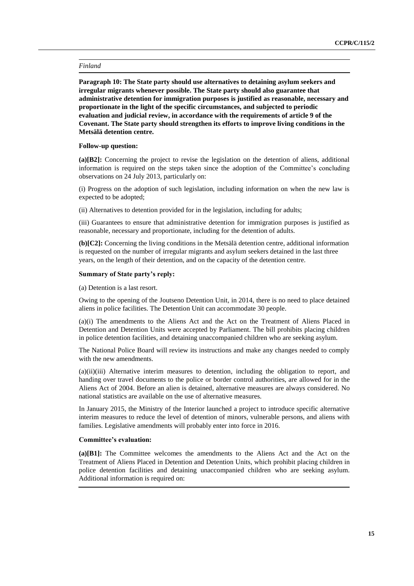**Paragraph 10: The State party should use alternatives to detaining asylum seekers and irregular migrants whenever possible. The State party should also guarantee that administrative detention for immigration purposes is justified as reasonable, necessary and proportionate in the light of the specific circumstances, and subjected to periodic evaluation and judicial review, in accordance with the requirements of article 9 of the Covenant. The State party should strengthen its efforts to improve living conditions in the Metsälä detention centre.**

# **Follow-up question:**

**(a)[B2]:** Concerning the project to revise the legislation on the detention of aliens, additional information is required on the steps taken since the adoption of the Committee's concluding observations on 24 July 2013, particularly on:

(i) Progress on the adoption of such legislation, including information on when the new law is expected to be adopted;

(ii) Alternatives to detention provided for in the legislation, including for adults;

(iii) Guarantees to ensure that administrative detention for immigration purposes is justified as reasonable, necessary and proportionate, including for the detention of adults.

**(b)[C2]:** Concerning the living conditions in the Metsälä detention centre, additional information is requested on the number of irregular migrants and asylum seekers detained in the last three years, on the length of their detention, and on the capacity of the detention centre.

# **Summary of State party's reply:**

(a) Detention is a last resort.

Owing to the opening of the Joutseno Detention Unit, in 2014, there is no need to place detained aliens in police facilities. The Detention Unit can accommodate 30 people.

(a)(i) The amendments to the Aliens Act and the Act on the Treatment of Aliens Placed in Detention and Detention Units were accepted by Parliament. The bill prohibits placing children in police detention facilities, and detaining unaccompanied children who are seeking asylum.

The National Police Board will review its instructions and make any changes needed to comply with the new amendments.

(a)(ii)(iii) Alternative interim measures to detention, including the obligation to report, and handing over travel documents to the police or border control authorities, are allowed for in the Aliens Act of 2004. Before an alien is detained, alternative measures are always considered. No national statistics are available on the use of alternative measures.

In January 2015, the Ministry of the Interior launched a project to introduce specific alternative interim measures to reduce the level of detention of minors, vulnerable persons, and aliens with families. Legislative amendments will probably enter into force in 2016.

# **Committee's evaluation:**

**(a)[B1]:** The Committee welcomes the amendments to the Aliens Act and the Act on the Treatment of Aliens Placed in Detention and Detention Units, which prohibit placing children in police detention facilities and detaining unaccompanied children who are seeking asylum. Additional information is required on: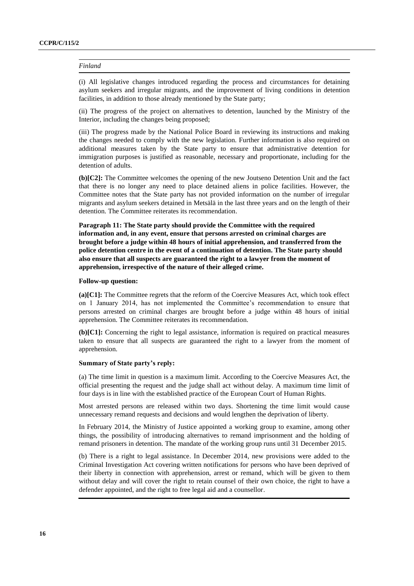(i) All legislative changes introduced regarding the process and circumstances for detaining asylum seekers and irregular migrants, and the improvement of living conditions in detention facilities, in addition to those already mentioned by the State party;

(ii) The progress of the project on alternatives to detention, launched by the Ministry of the Interior, including the changes being proposed;

(iii) The progress made by the National Police Board in reviewing its instructions and making the changes needed to comply with the new legislation. Further information is also required on additional measures taken by the State party to ensure that administrative detention for immigration purposes is justified as reasonable, necessary and proportionate, including for the detention of adults.

**(b)[C2]:** The Committee welcomes the opening of the new Joutseno Detention Unit and the fact that there is no longer any need to place detained aliens in police facilities. However, the Committee notes that the State party has not provided information on the number of irregular migrants and asylum seekers detained in Metsälä in the last three years and on the length of their detention. The Committee reiterates its recommendation.

**Paragraph 11: The State party should provide the Committee with the required information and, in any event, ensure that persons arrested on criminal charges are brought before a judge within 48 hours of initial apprehension, and transferred from the police detention centre in the event of a continuation of detention. The State party should also ensure that all suspects are guaranteed the right to a lawyer from the moment of apprehension, irrespective of the nature of their alleged crime.**

#### **Follow-up question:**

**(a)[C1]:** The Committee regrets that the reform of the Coercive Measures Act, which took effect on 1 January 2014, has not implemented the Committee's recommendation to ensure that persons arrested on criminal charges are brought before a judge within 48 hours of initial apprehension. The Committee reiterates its recommendation.

**(b)[C1]:** Concerning the right to legal assistance, information is required on practical measures taken to ensure that all suspects are guaranteed the right to a lawyer from the moment of apprehension.

#### **Summary of State party's reply:**

(a) The time limit in question is a maximum limit. According to the Coercive Measures Act, the official presenting the request and the judge shall act without delay. A maximum time limit of four days is in line with the established practice of the European Court of Human Rights.

Most arrested persons are released within two days. Shortening the time limit would cause unnecessary remand requests and decisions and would lengthen the deprivation of liberty.

In February 2014, the Ministry of Justice appointed a working group to examine, among other things, the possibility of introducing alternatives to remand imprisonment and the holding of remand prisoners in detention. The mandate of the working group runs until 31 December 2015.

(b) There is a right to legal assistance. In December 2014, new provisions were added to the Criminal Investigation Act covering written notifications for persons who have been deprived of their liberty in connection with apprehension, arrest or remand, which will be given to them without delay and will cover the right to retain counsel of their own choice, the right to have a defender appointed, and the right to free legal aid and a counsellor.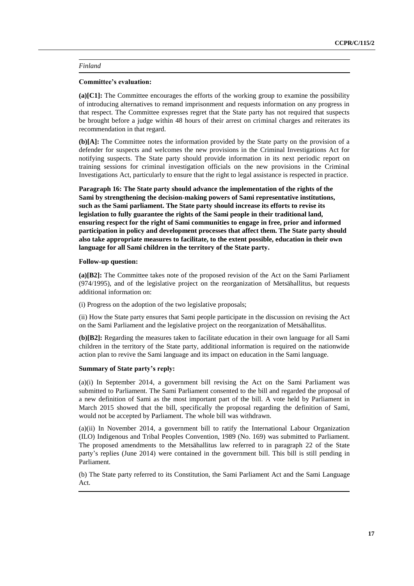### **Committee's evaluation:**

**(a)[C1]:** The Committee encourages the efforts of the working group to examine the possibility of introducing alternatives to remand imprisonment and requests information on any progress in that respect. The Committee expresses regret that the State party has not required that suspects be brought before a judge within 48 hours of their arrest on criminal charges and reiterates its recommendation in that regard.

**(b)[A]:** The Committee notes the information provided by the State party on the provision of a defender for suspects and welcomes the new provisions in the Criminal Investigations Act for notifying suspects. The State party should provide information in its next periodic report on training sessions for criminal investigation officials on the new provisions in the Criminal Investigations Act, particularly to ensure that the right to legal assistance is respected in practice.

**Paragraph 16: The State party should advance the implementation of the rights of the Sami by strengthening the decision-making powers of Sami representative institutions, such as the Sami parliament. The State party should increase its efforts to revise its legislation to fully guarantee the rights of the Sami people in their traditional land, ensuring respect for the right of Sami communities to engage in free, prior and informed participation in policy and development processes that affect them. The State party should also take appropriate measures to facilitate, to the extent possible, education in their own language for all Sami children in the territory of the State party.**

### **Follow-up question:**

**(a)[B2]:** The Committee takes note of the proposed revision of the Act on the Sami Parliament (974/1995), and of the legislative project on the reorganization of Metsähallitus, but requests additional information on:

(i) Progress on the adoption of the two legislative proposals;

(ii) How the State party ensures that Sami people participate in the discussion on revising the Act on the Sami Parliament and the legislative project on the reorganization of Metsähallitus.

**(b)[B2]:** Regarding the measures taken to facilitate education in their own language for all Sami children in the territory of the State party, additional information is required on the nationwide action plan to revive the Sami language and its impact on education in the Sami language.

# **Summary of State party's reply:**

(a)(i) In September 2014, a government bill revising the Act on the Sami Parliament was submitted to Parliament. The Sami Parliament consented to the bill and regarded the proposal of a new definition of Sami as the most important part of the bill. A vote held by Parliament in March 2015 showed that the bill, specifically the proposal regarding the definition of Sami, would not be accepted by Parliament. The whole bill was withdrawn.

(a)(ii) In November 2014, a government bill to ratify the International Labour Organization (ILO) Indigenous and Tribal Peoples Convention, 1989 (No. 169) was submitted to Parliament. The proposed amendments to the Metsähallitus law referred to in paragraph 22 of the State party's replies (June 2014) were contained in the government bill. This bill is still pending in Parliament.

(b) The State party referred to its Constitution, the Sami Parliament Act and the Sami Language Act.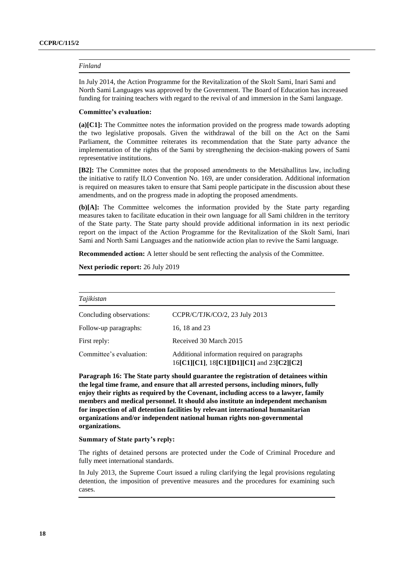In July 2014, the Action Programme for the Revitalization of the Skolt Sami, Inari Sami and North Sami Languages was approved by the Government. The Board of Education has increased funding for training teachers with regard to the revival of and immersion in the Sami language.

### **Committee's evaluation:**

**(a)[C1]:** The Committee notes the information provided on the progress made towards adopting the two legislative proposals. Given the withdrawal of the bill on the Act on the Sami Parliament, the Committee reiterates its recommendation that the State party advance the implementation of the rights of the Sami by strengthening the decision-making powers of Sami representative institutions.

**[B2]:** The Committee notes that the proposed amendments to the Metsähallitus law, including the initiative to ratify ILO Convention No. 169, are under consideration. Additional information is required on measures taken to ensure that Sami people participate in the discussion about these amendments, and on the progress made in adopting the proposed amendments.

**(b)[A]:** The Committee welcomes the information provided by the State party regarding measures taken to facilitate education in their own language for all Sami children in the territory of the State party. The State party should provide additional information in its next periodic report on the impact of the Action Programme for the Revitalization of the Skolt Sami, Inari Sami and North Sami Languages and the nationwide action plan to revive the Sami language.

**Recommended action:** A letter should be sent reflecting the analysis of the Committee.

**Next periodic report:** 26 July 2019

*Tajikistan*

| 1 ajikistan                                                                                |  |  |
|--------------------------------------------------------------------------------------------|--|--|
| CCPR/C/TJK/CO/2, 23 July 2013                                                              |  |  |
| 16, 18 and 23                                                                              |  |  |
| Received 30 March 2015                                                                     |  |  |
| Additional information required on paragraphs<br>16[C1][C1], 18[C1][D1][C1] and 23[C2][C2] |  |  |
|                                                                                            |  |  |

**Paragraph 16: The State party should guarantee the registration of detainees within the legal time frame, and ensure that all arrested persons, including minors, fully enjoy their rights as required by the Covenant, including access to a lawyer, family members and medical personnel. It should also institute an independent mechanism for inspection of all detention facilities by relevant international humanitarian organizations and/or independent national human rights non-governmental organizations.**

# **Summary of State party's reply:**

The rights of detained persons are protected under the Code of Criminal Procedure and fully meet international standards.

In July 2013, the Supreme Court issued a ruling clarifying the legal provisions regulating detention, the imposition of preventive measures and the procedures for examining such cases.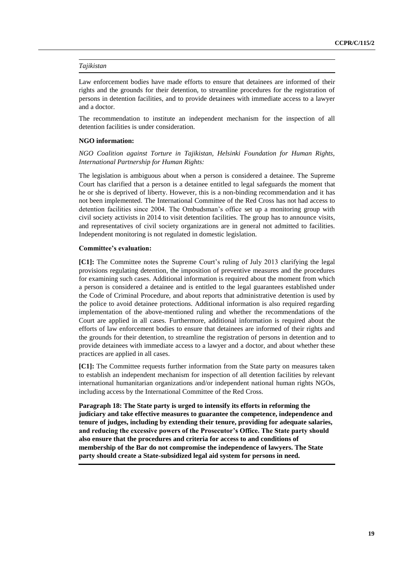# *Tajikistan*

Law enforcement bodies have made efforts to ensure that detainees are informed of their rights and the grounds for their detention, to streamline procedures for the registration of persons in detention facilities, and to provide detainees with immediate access to a lawyer and a doctor.

The recommendation to institute an independent mechanism for the inspection of all detention facilities is under consideration.

# **NGO information:**

*NGO Coalition against Torture in Tajikistan, Helsinki Foundation for Human Rights, International Partnership for Human Rights:*

The legislation is ambiguous about when a person is considered a detainee. The Supreme Court has clarified that a person is a detainee entitled to legal safeguards the moment that he or she is deprived of liberty. However, this is a non-binding recommendation and it has not been implemented. The International Committee of the Red Cross has not had access to detention facilities since 2004. The Ombudsman's office set up a monitoring group with civil society activists in 2014 to visit detention facilities. The group has to announce visits, and representatives of civil society organizations are in general not admitted to facilities. Independent monitoring is not regulated in domestic legislation.

#### **Committee's evaluation:**

**[C1]:** The Committee notes the Supreme Court's ruling of July 2013 clarifying the legal provisions regulating detention, the imposition of preventive measures and the procedures for examining such cases. Additional information is required about the moment from which a person is considered a detainee and is entitled to the legal guarantees established under the Code of Criminal Procedure, and about reports that administrative detention is used by the police to avoid detainee protections. Additional information is also required regarding implementation of the above-mentioned ruling and whether the recommendations of the Court are applied in all cases. Furthermore, additional information is required about the efforts of law enforcement bodies to ensure that detainees are informed of their rights and the grounds for their detention, to streamline the registration of persons in detention and to provide detainees with immediate access to a lawyer and a doctor, and about whether these practices are applied in all cases.

**[C1]:** The Committee requests further information from the State party on measures taken to establish an independent mechanism for inspection of all detention facilities by relevant international humanitarian organizations and/or independent national human rights NGOs, including access by the International Committee of the Red Cross.

**Paragraph 18: The State party is urged to intensify its efforts in reforming the judiciary and take effective measures to guarantee the competence, independence and tenure of judges, including by extending their tenure, providing for adequate salaries, and reducing the excessive powers of the Prosecutor's Office. The State party should also ensure that the procedures and criteria for access to and conditions of membership of the Bar do not compromise the independence of lawyers. The State party should create a State-subsidized legal aid system for persons in need.**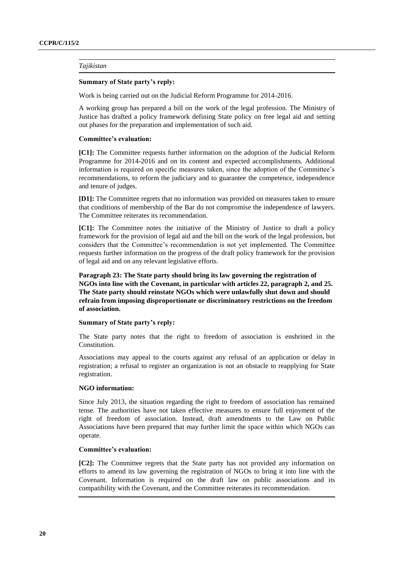# *Tajikistan*

#### **Summary of State party's reply:**

Work is being carried out on the Judicial Reform Programme for 2014-2016.

A working group has prepared a bill on the work of the legal profession. The Ministry of Justice has drafted a policy framework defining State policy on free legal aid and setting out phases for the preparation and implementation of such aid.

#### **Committee's evaluation:**

**[C1]:** The Committee requests further information on the adoption of the Judicial Reform Programme for 2014-2016 and on its content and expected accomplishments. Additional information is required on specific measures taken, since the adoption of the Committee's recommendations, to reform the judiciary and to guarantee the competence, independence and tenure of judges.

**[D1]:** The Committee regrets that no information was provided on measures taken to ensure that conditions of membership of the Bar do not compromise the independence of lawyers. The Committee reiterates its recommendation.

**[C1]:** The Committee notes the initiative of the Ministry of Justice to draft a policy framework for the provision of legal aid and the bill on the work of the legal profession, but considers that the Committee's recommendation is not yet implemented. The Committee requests further information on the progress of the draft policy framework for the provision of legal aid and on any relevant legislative efforts.

**Paragraph 23: The State party should bring its law governing the registration of NGOs into line with the Covenant, in particular with articles 22, paragraph 2, and 25. The State party should reinstate NGOs which were unlawfully shut down and should refrain from imposing disproportionate or discriminatory restrictions on the freedom of association.**

# **Summary of State party's reply:**

The State party notes that the right to freedom of association is enshrined in the Constitution.

Associations may appeal to the courts against any refusal of an application or delay in registration; a refusal to register an organization is not an obstacle to reapplying for State registration.

#### **NGO information:**

Since July 2013, the situation regarding the right to freedom of association has remained tense. The authorities have not taken effective measures to ensure full enjoyment of the right of freedom of association. Instead, draft amendments to the Law on Public Associations have been prepared that may further limit the space within which NGOs can operate.

#### **Committee's evaluation:**

**[C2]:** The Committee regrets that the State party has not provided any information on efforts to amend its law governing the registration of NGOs to bring it into line with the Covenant. Information is required on the draft law on public associations and its compatibility with the Covenant, and the Committee reiterates its recommendation.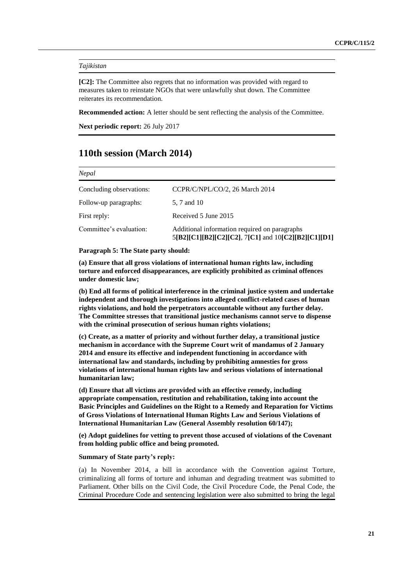# *Tajikistan*

**[C2]:** The Committee also regrets that no information was provided with regard to measures taken to reinstate NGOs that were unlawfully shut down. The Committee reiterates its recommendation.

**Recommended action:** A letter should be sent reflecting the analysis of the Committee.

**Next periodic report:** 26 July 2017

# **110th session (March 2014)**

| Nepal                    |                                                                                                      |  |
|--------------------------|------------------------------------------------------------------------------------------------------|--|
| Concluding observations: | CCPR/C/NPL/CO/2, 26 March 2014                                                                       |  |
| Follow-up paragraphs:    | 5, 7 and 10                                                                                          |  |
| First reply:             | Received 5 June 2015                                                                                 |  |
| Committee's evaluation:  | Additional information required on paragraphs<br>5[B2][C1][B2][C2][C2], 7[C1] and 10[C2][B2][C1][D1] |  |

#### **Paragraph 5: The State party should:**

**(a) Ensure that all gross violations of international human rights law, including torture and enforced disappearances, are explicitly prohibited as criminal offences under domestic law;**

**(b) End all forms of political interference in the criminal justice system and undertake independent and thorough investigations into alleged conflict-related cases of human rights violations, and hold the perpetrators accountable without any further delay. The Committee stresses that transitional justice mechanisms cannot serve to dispense with the criminal prosecution of serious human rights violations;** 

**(c) Create, as a matter of priority and without further delay, a transitional justice mechanism in accordance with the Supreme Court writ of mandamus of 2 January 2014 and ensure its effective and independent functioning in accordance with international law and standards, including by prohibiting amnesties for gross violations of international human rights law and serious violations of international humanitarian law;**

**(d) Ensure that all victims are provided with an effective remedy, including appropriate compensation, restitution and rehabilitation, taking into account the Basic Principles and Guidelines on the Right to a Remedy and Reparation for Victims of Gross Violations of International Human Rights Law and Serious Violations of International Humanitarian Law (General Assembly resolution 60/147);** 

**(e) Adopt guidelines for vetting to prevent those accused of violations of the Covenant from holding public office and being promoted.**

## **Summary of State party's reply:**

(a) In November 2014, a bill in accordance with the Convention against Torture, criminalizing all forms of torture and inhuman and degrading treatment was submitted to Parliament. Other bills on the Civil Code, the Civil Procedure Code, the Penal Code, the Criminal Procedure Code and sentencing legislation were also submitted to bring the legal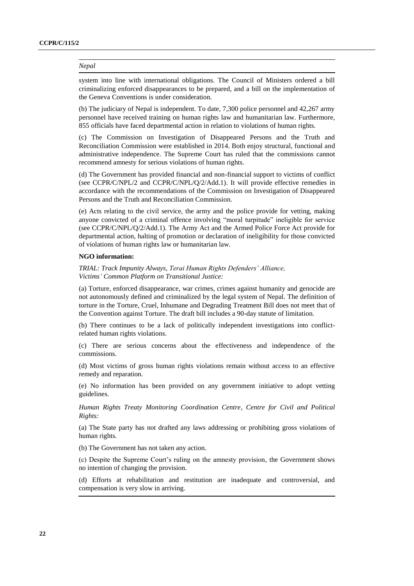system into line with international obligations. The Council of Ministers ordered a bill criminalizing enforced disappearances to be prepared, and a bill on the implementation of the Geneva Conventions is under consideration.

(b) The judiciary of Nepal is independent. To date, 7,300 police personnel and 42,267 army personnel have received training on human rights law and humanitarian law. Furthermore, 855 officials have faced departmental action in relation to violations of human rights.

(c) The Commission on Investigation of Disappeared Persons and the Truth and Reconciliation Commission were established in 2014. Both enjoy structural, functional and administrative independence. The Supreme Court has ruled that the commissions cannot recommend amnesty for serious violations of human rights.

(d) The Government has provided financial and non-financial support to victims of conflict (see CCPR/C/NPL/2 and CCPR/C/NPL/Q/2/Add.1). It will provide effective remedies in accordance with the recommendations of the Commission on Investigation of Disappeared Persons and the Truth and Reconciliation Commission.

(e) Acts relating to the civil service, the army and the police provide for vetting, making anyone convicted of a criminal offence involving "moral turpitude" ineligible for service (see CCPR/C/NPL/Q/2/Add.1). The Army Act and the Armed Police Force Act provide for departmental action, halting of promotion or declaration of ineligibility for those convicted of violations of human rights law or humanitarian law.

# **NGO information:**

*TRIAL: Track Impunity Always, Terai Human Rights Defenders' Alliance, Victims' Common Platform on Transitional Justice:*

(a) Torture, enforced disappearance, war crimes, crimes against humanity and genocide are not autonomously defined and criminalized by the legal system of Nepal. The definition of torture in the Torture, Cruel, Inhumane and Degrading Treatment Bill does not meet that of the Convention against Torture. The draft bill includes a 90-day statute of limitation.

(b) There continues to be a lack of politically independent investigations into conflictrelated human rights violations.

(c) There are serious concerns about the effectiveness and independence of the commissions.

(d) Most victims of gross human rights violations remain without access to an effective remedy and reparation.

(e) No information has been provided on any government initiative to adopt vetting guidelines.

*Human Rights Treaty Monitoring Coordination Centre, Centre for Civil and Political Rights:*

(a) The State party has not drafted any laws addressing or prohibiting gross violations of human rights.

(b) The Government has not taken any action.

(c) Despite the Supreme Court's ruling on the amnesty provision, the Government shows no intention of changing the provision.

(d) Efforts at rehabilitation and restitution are inadequate and controversial, and compensation is very slow in arriving.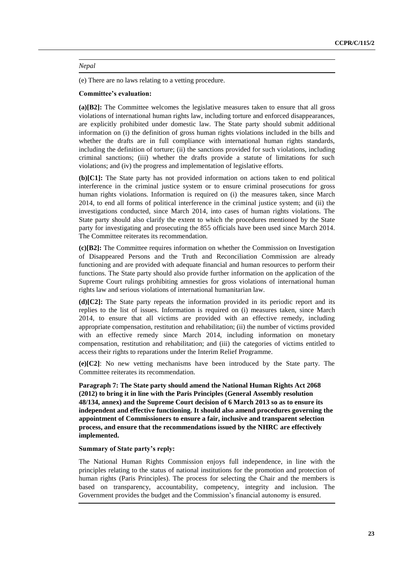(e) There are no laws relating to a vetting procedure.

### **Committee's evaluation:**

**(a)[B2]:** The Committee welcomes the legislative measures taken to ensure that all gross violations of international human rights law, including torture and enforced disappearances, are explicitly prohibited under domestic law. The State party should submit additional information on (i) the definition of gross human rights violations included in the bills and whether the drafts are in full compliance with international human rights standards, including the definition of torture; (ii) the sanctions provided for such violations, including criminal sanctions; (iii) whether the drafts provide a statute of limitations for such violations; and (iv) the progress and implementation of legislative efforts.

**(b)[C1]:** The State party has not provided information on actions taken to end political interference in the criminal justice system or to ensure criminal prosecutions for gross human rights violations. Information is required on (i) the measures taken, since March 2014, to end all forms of political interference in the criminal justice system; and (ii) the investigations conducted, since March 2014, into cases of human rights violations. The State party should also clarify the extent to which the procedures mentioned by the State party for investigating and prosecuting the 855 officials have been used since March 2014. The Committee reiterates its recommendation.

**(c)[B2]:** The Committee requires information on whether the Commission on Investigation of Disappeared Persons and the Truth and Reconciliation Commission are already functioning and are provided with adequate financial and human resources to perform their functions. The State party should also provide further information on the application of the Supreme Court rulings prohibiting amnesties for gross violations of international human rights law and serious violations of international humanitarian law.

**(d)[C2]:** The State party repeats the information provided in its periodic report and its replies to the list of issues. Information is required on (i) measures taken, since March 2014, to ensure that all victims are provided with an effective remedy, including appropriate compensation, restitution and rehabilitation; (ii) the number of victims provided with an effective remedy since March 2014, including information on monetary compensation, restitution and rehabilitation; and (iii) the categories of victims entitled to access their rights to reparations under the Interim Relief Programme.

**(e)[C2]**: No new vetting mechanisms have been introduced by the State party. The Committee reiterates its recommendation.

**Paragraph 7: The State party should amend the National Human Rights Act 2068 (2012) to bring it in line with the Paris Principles (General Assembly resolution 48/134, annex) and the Supreme Court decision of 6 March 2013 so as to ensure its independent and effective functioning. It should also amend procedures governing the appointment of Commissioners to ensure a fair, inclusive and transparent selection process, and ensure that the recommendations issued by the NHRC are effectively implemented.**

### **Summary of State party's reply:**

The National Human Rights Commission enjoys full independence, in line with the principles relating to the status of national institutions for the promotion and protection of human rights (Paris Principles). The process for selecting the Chair and the members is based on transparency, accountability, competency, integrity and inclusion. The Government provides the budget and the Commission's financial autonomy is ensured.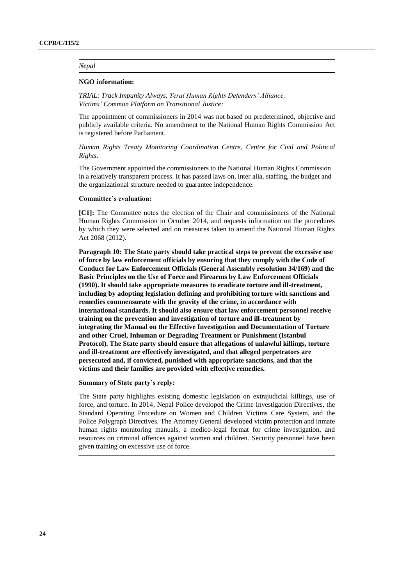#### **NGO information:**

*TRIAL: Track Impunity Always, Terai Human Rights Defenders' Alliance, Victims' Common Platform on Transitional Justice:*

The appointment of commissioners in 2014 was not based on predetermined, objective and publicly available criteria. No amendment to the National Human Rights Commission Act is registered before Parliament.

*Human Rights Treaty Monitoring Coordination Centre, Centre for Civil and Political Rights:*

The Government appointed the commissioners to the National Human Rights Commission in a relatively transparent process. It has passed laws on, inter alia, staffing, the budget and the organizational structure needed to guarantee independence.

#### **Committee's evaluation:**

**[C1]:** The Committee notes the election of the Chair and commissioners of the National Human Rights Commission in October 2014, and requests information on the procedures by which they were selected and on measures taken to amend the National Human Rights Act 2068 (2012).

**Paragraph 10: The State party should take practical steps to prevent the excessive use of force by law enforcement officials by ensuring that they comply with the Code of Conduct for Law Enforcement Officials (General Assembly resolution 34/169) and the Basic Principles on the Use of Force and Firearms by Law Enforcement Officials (1990). It should take appropriate measures to eradicate torture and ill-treatment, including by adopting legislation defining and prohibiting torture with sanctions and remedies commensurate with the gravity of the crime, in accordance with international standards. It should also ensure that law enforcement personnel receive training on the prevention and investigation of torture and ill-treatment by integrating the Manual on the Effective Investigation and Documentation of Torture and other Cruel, Inhuman or Degrading Treatment or Punishment (Istanbul Protocol). The State party should ensure that allegations of unlawful killings, torture and ill-treatment are effectively investigated, and that alleged perpetrators are persecuted and, if convicted, punished with appropriate sanctions, and that the victims and their families are provided with effective remedies.**

#### **Summary of State party's reply:**

The State party highlights existing domestic legislation on extrajudicial killings, use of force, and torture. In 2014, Nepal Police developed the Crime Investigation Directives, the Standard Operating Procedure on Women and Children Victims Care System, and the Police Polygraph Directives. The Attorney General developed victim protection and inmate human rights monitoring manuals, a medico-legal format for crime investigation, and resources on criminal offences against women and children. Security personnel have been given training on excessive use of force.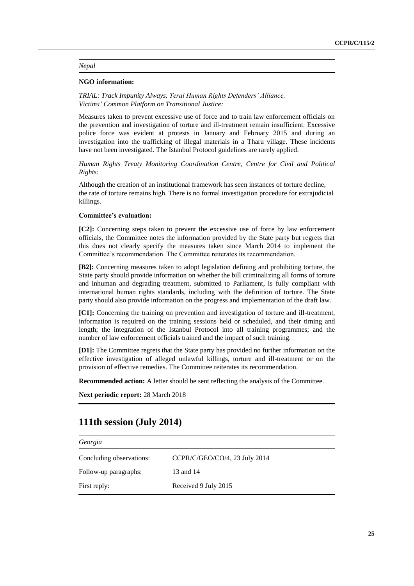### **NGO information:**

*TRIAL: Track Impunity Always, Terai Human Rights Defenders' Alliance, Victims' Common Platform on Transitional Justice:* 

Measures taken to prevent excessive use of force and to train law enforcement officials on the prevention and investigation of torture and ill-treatment remain insufficient. Excessive police force was evident at protests in January and February 2015 and during an investigation into the trafficking of illegal materials in a Tharu village. These incidents have not been investigated. The Istanbul Protocol guidelines are rarely applied.

*Human Rights Treaty Monitoring Coordination Centre, Centre for Civil and Political Rights:*

Although the creation of an institutional framework has seen instances of torture decline, the rate of torture remains high. There is no formal investigation procedure for extrajudicial killings.

#### **Committee's evaluation:**

**[C2]:** Concerning steps taken to prevent the excessive use of force by law enforcement officials, the Committee notes the information provided by the State party but regrets that this does not clearly specify the measures taken since March 2014 to implement the Committee's recommendation. The Committee reiterates its recommendation.

**[B2]:** Concerning measures taken to adopt legislation defining and prohibiting torture, the State party should provide information on whether the bill criminalizing all forms of torture and inhuman and degrading treatment, submitted to Parliament, is fully compliant with international human rights standards, including with the definition of torture. The State party should also provide information on the progress and implementation of the draft law.

**[C1]:** Concerning the training on prevention and investigation of torture and ill-treatment, information is required on the training sessions held or scheduled, and their timing and length; the integration of the Istanbul Protocol into all training programmes; and the number of law enforcement officials trained and the impact of such training.

**[D1]:** The Committee regrets that the State party has provided no further information on the effective investigation of alleged unlawful killings, torture and ill-treatment or on the provision of effective remedies. The Committee reiterates its recommendation.

**Recommended action:** A letter should be sent reflecting the analysis of the Committee.

**Next periodic report:** 28 March 2018

# **111th session (July 2014)**

| Georgia                  |                               |  |
|--------------------------|-------------------------------|--|
| Concluding observations: | CCPR/C/GEO/CO/4, 23 July 2014 |  |
| Follow-up paragraphs:    | 13 and 14                     |  |
| First reply:             | Received 9 July 2015          |  |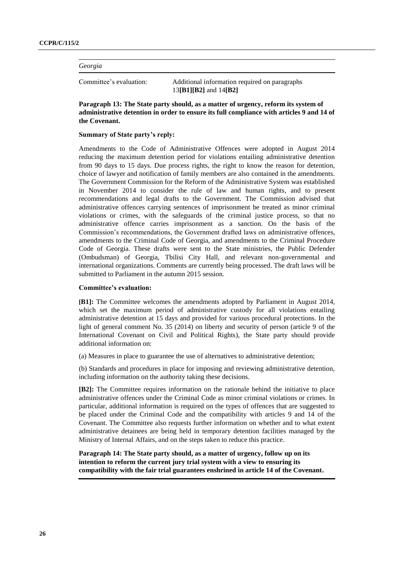# *Georgia*

Committee's evaluation: Additional information required on paragraphs 13**[B1][B2]** and 14**[B2]**

**Paragraph 13: The State party should, as a matter of urgency, reform its system of administrative detention in order to ensure its full compliance with articles 9 and 14 of the Covenant.**

### **Summary of State party's reply:**

Amendments to the Code of Administrative Offences were adopted in August 2014 reducing the maximum detention period for violations entailing administrative detention from 90 days to 15 days. Due process rights, the right to know the reason for detention, choice of lawyer and notification of family members are also contained in the amendments. The Government Commission for the Reform of the Administrative System was established in November 2014 to consider the rule of law and human rights, and to present recommendations and legal drafts to the Government. The Commission advised that administrative offences carrying sentences of imprisonment be treated as minor criminal violations or crimes, with the safeguards of the criminal justice process, so that no administrative offence carries imprisonment as a sanction. On the basis of the Commission's recommendations, the Government drafted laws on administrative offences, amendments to the Criminal Code of Georgia, and amendments to the Criminal Procedure Code of Georgia. These drafts were sent to the State ministries, the Public Defender (Ombudsman) of Georgia, Tbilisi City Hall, and relevant non-governmental and international organizations. Comments are currently being processed. The draft laws will be submitted to Parliament in the autumn 2015 session.

# **Committee's evaluation:**

**[B1]:** The Committee welcomes the amendments adopted by Parliament in August 2014, which set the maximum period of administrative custody for all violations entailing administrative detention at 15 days and provided for various procedural protections. In the light of general comment No. 35 (2014) on liberty and security of person (article 9 of the International Covenant on Civil and Political Rights), the State party should provide additional information on:

(a) Measures in place to guarantee the use of alternatives to administrative detention;

(b) Standards and procedures in place for imposing and reviewing administrative detention, including information on the authority taking these decisions.

**[B2]:** The Committee requires information on the rationale behind the initiative to place administrative offences under the Criminal Code as minor criminal violations or crimes. In particular, additional information is required on the types of offences that are suggested to be placed under the Criminal Code and the compatibility with articles 9 and 14 of the Covenant. The Committee also requests further information on whether and to what extent administrative detainees are being held in temporary detention facilities managed by the Ministry of Internal Affairs, and on the steps taken to reduce this practice.

**Paragraph 14: The State party should, as a matter of urgency, follow up on its intention to reform the current jury trial system with a view to ensuring its compatibility with the fair trial guarantees enshrined in article 14 of the Covenant.**